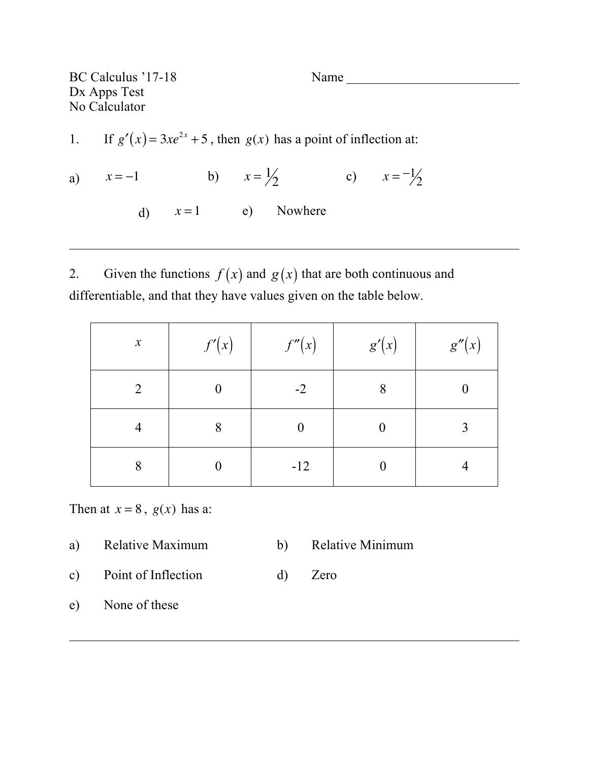BC Calculus '17-18 Name Dx Apps Test No Calculator

- 1. If  $g'(x) = 3xe^{2x} + 5$ , then  $g(x)$  has a point of inflection at:
- a)  $x = -1$  b)  $x = \frac{1}{2}$  c)  $x = -\frac{1}{2}$ d)  $x=1$  e) Nowhere

2. Given the functions  $f(x)$  and  $g(x)$  that are both continuous and differentiable, and that they have values given on the table below.

| $\boldsymbol{\mathcal{X}}$ | f'(x) | f''(x)         | g'(x) | g''(x) |
|----------------------------|-------|----------------|-------|--------|
| 2                          |       | $-2$           | 8     |        |
| 4                          | 8     | $\overline{0}$ | 0     | ◠      |
| 8                          |       | $-12$          |       |        |

Then at  $x = 8$ ,  $g(x)$  has a:

- a) Relative Maximum b) Relative Minimum
	-
- c) Point of Inflection d) Zero
- e) None of these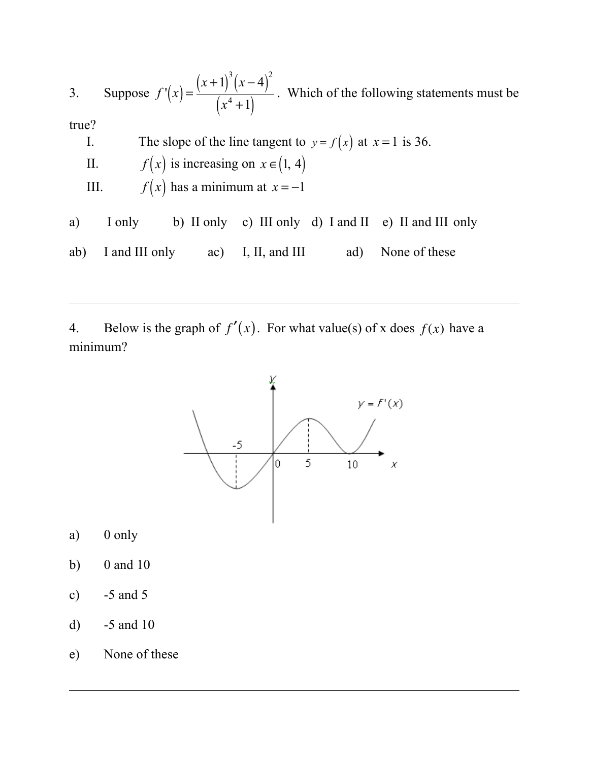3. Suppose  $f'(x) = \frac{(x+1)^3(x-4)^2}{(x+1)^3}$  $\frac{f(x+1)}{f(x^4+1)}$ . Which of the following statements must be true? I. The slope of the line tangent to  $y = f(x)$  at  $x = 1$  is 36. II.  $f(x)$  is increasing on  $x \in (1, 4)$ III.  $f(x)$  has a minimum at  $x = -1$ a) I only b) II only c) III only d) I and II e) II and III only ab) I and III only ac) I, II, and III ad) None of these

4. Below is the graph of  $f'(x)$ . For what value(s) of x does  $f(x)$  have a minimum?



- a) 0 only
- b) 0 and 10
- c) -5 and 5
- d) -5 and 10
- e) None of these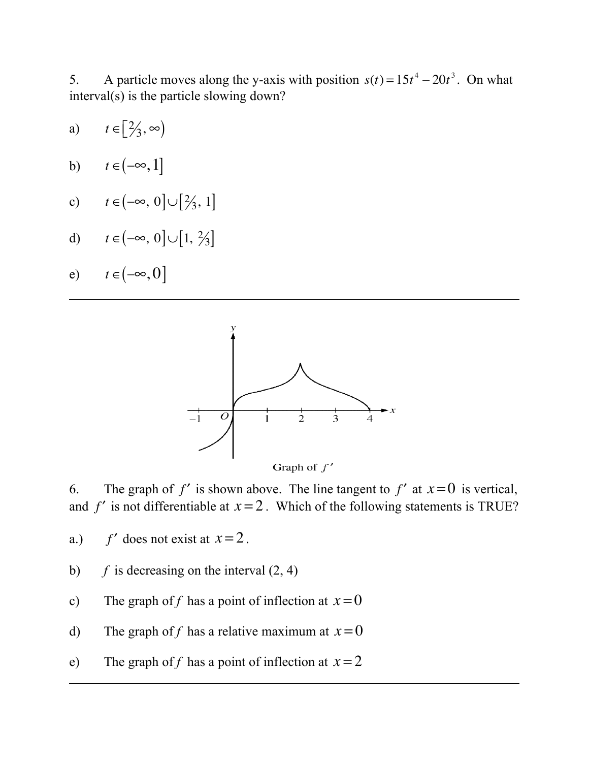5. A particle moves along the y-axis with position  $s(t) = 15t^4 - 20t^3$ . On what interval(s) is the particle slowing down?

- a)  $t \in [\frac{2}{3}, \infty)$
- b)  $t \in (-\infty, 1]$
- c)  $t \in (-\infty, 0] \cup [2/3, 1]$
- d)  $t \in [-\infty, 0] \cup [1, \frac{2}{3}]$

$$
e) \qquad t \in (-\infty, 0]
$$



6. The graph of  $f'$  is shown above. The line tangent to  $f'$  at  $x=0$  is vertical, and  $f'$  is not differentiable at  $x=2$ . Which of the following statements is TRUE?

a.)  $f'$  does not exist at  $x=2$ .

- b)  $f$  is decreasing on the interval  $(2, 4)$
- c) The graph of f has a point of inflection at  $x=0$
- d) The graph of f has a relative maximum at  $x=0$
- e) The graph of f has a point of inflection at  $x = 2$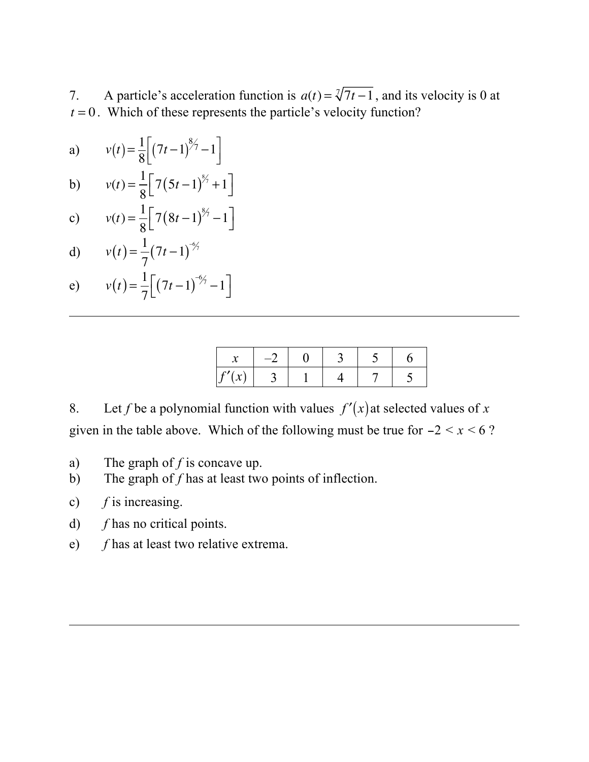7. A particle's acceleration function is  $a(t) = \sqrt[3]{7t-1}$ , and its velocity is 0 at  $t = 0$ . Which of these represents the particle's velocity function?

a) 
$$
v(t) = \frac{1}{8} \left[ (7t - 1)^{8/7} - 1 \right]
$$

b) 
$$
v(t) = \frac{1}{8} \left[ 7(5t-1)^{8/2} + 1 \right]
$$

c) 
$$
v(t) = \frac{1}{8} \left[ 7(8t-1)^{8/7} - 1 \right]
$$

d) 
$$
v(t) = \frac{1}{7}(7t-1)^{-9/7}
$$

e) 
$$
v(t) = \frac{1}{7} \left[ (7t - 1)^{-6/7} - 1 \right]
$$

| ъ.<br>v |  |  |  |
|---------|--|--|--|

8. Let *f* be a polynomial function with values  $f'(x)$  at selected values of *x* given in the table above. Which of the following must be true for  $-2 < x < 6$ ?

- a) The graph of *f* is concave up.
- b) The graph of *f* has at least two points of inflection.

⎦

- c) *f* is increasing.
- d) *f* has no critical points.
- e) *f* has at least two relative extrema.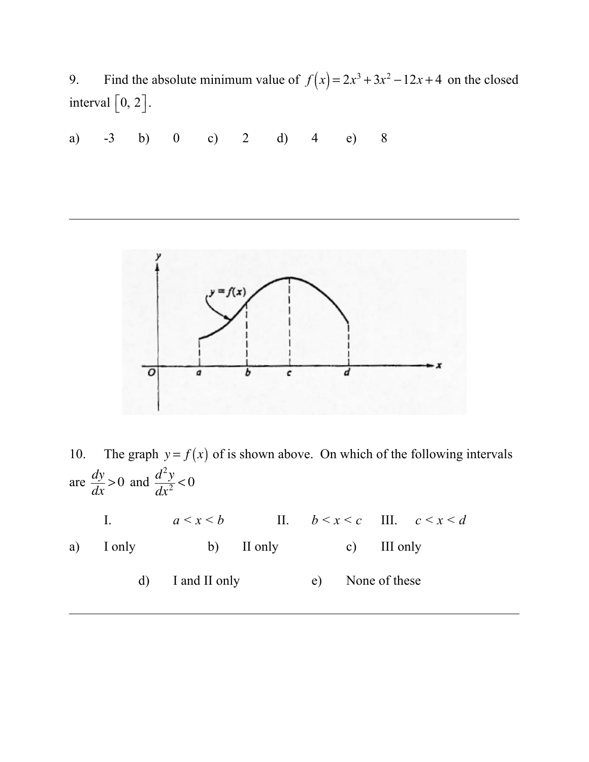9. Find the absolute minimum value of  $f(x) = 2x^3 + 3x^2 - 12x + 4$  on the closed interval  $\lfloor 0, 2 \rfloor$ .

a) -3 b) 0 c) 2 d) 4 e) 8



10. The graph  $y = f(x)$  of is shown above. On which of the following intervals are  $\frac{dy}{dx} > 0$  and  $\frac{d^2y}{dx^2} < 0$ I.  $a \leq x \leq b$  II.  $b \leq x \leq c$  III.  $c \leq x \leq d$ 

a) I only b) II only c) III only

d) I and II only e) None of these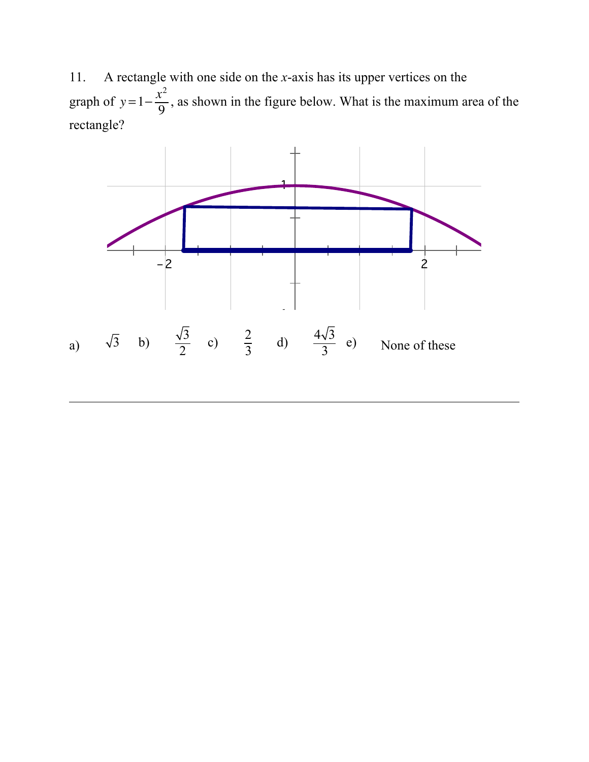11. A rectangle with one side on the *x*-axis has its upper vertices on the graph of  $y=1-\frac{x^2}{0}$  $\frac{1}{9}$ , as shown in the figure below. What is the maximum area of the rectangle?

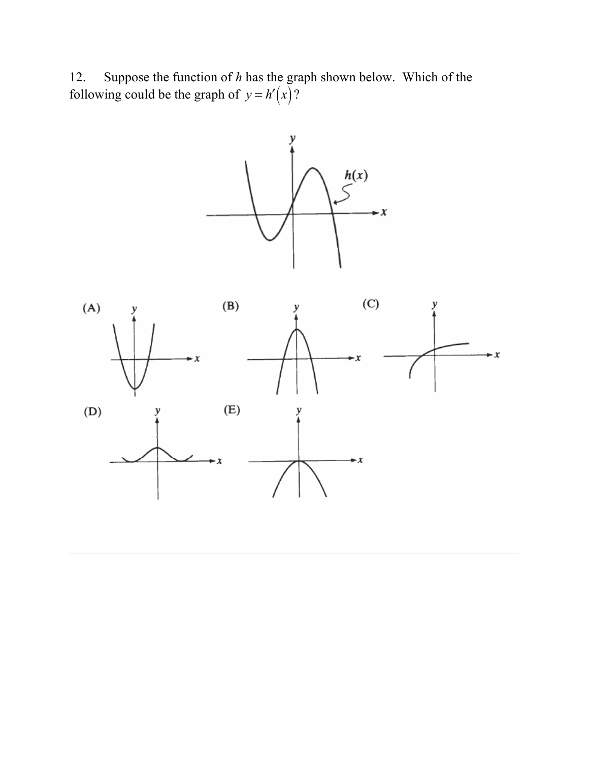12. Suppose the function of *h* has the graph shown below. Which of the following could be the graph of  $y = h'(x)$ ?



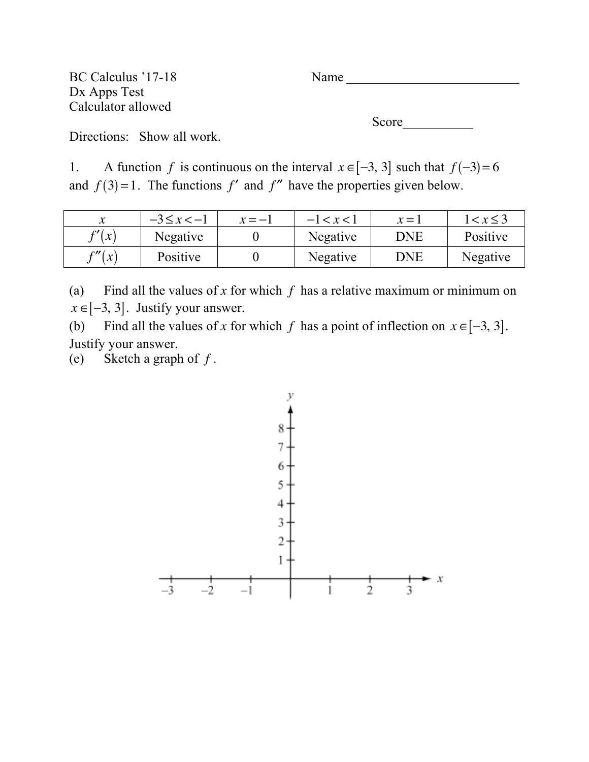BC Calculus '17-18 Name Dx Apps Test Calculator allowed

Score

Directions: Show all work.

1. A function *f* is continuous on the interval  $x \in [-3, 3]$  such that  $f(-3)=6$ and  $f(3)=1$ . The functions  $f'$  and  $f''$  have the properties given below.

|                   | $-3 \le x < -1$ | $x = -1$ | $-1 < x < 1$ | $x = 1$    | $1 < x \leq 3$ |
|-------------------|-----------------|----------|--------------|------------|----------------|
| $\frac{c'}{x}$    | Negative        |          | Negative     | <b>DNE</b> | Positive       |
| $\frac{c}{x}$ (x) | Positive        |          | Negative     | DNE        | Negative       |

(a) Find all the values of *x* for which *f* has a relative maximum or minimum on  $x \in [-3, 3]$ . Justify your answer.

(b) Find all the values of *x* for which *f* has a point of inflection on  $x \in [-3, 3]$ . Justify your answer.

(e) Sketch a graph of *f* .

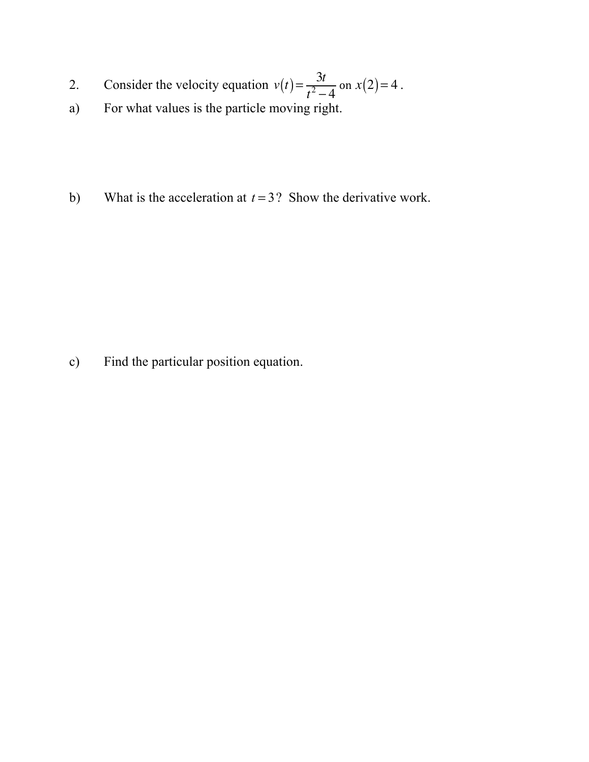- 2. Consider the velocity equation  $v(t) = \frac{3t}{2}$  $\frac{3i}{t^2-4}$  on *x*(2) = 4.
- a) For what values is the particle moving right.
- b) What is the acceleration at *t* = 3? Show the derivative work.

c) Find the particular position equation.